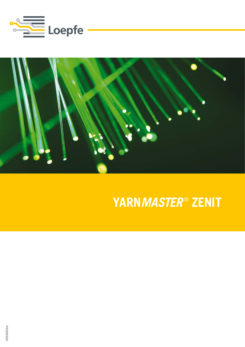



### YARNMASTER® ZENIT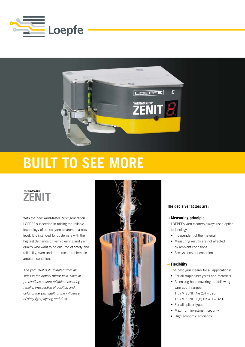



## **Built to see more**

### **YARN***MASTER* **® ZENIT**

With the new YarnMaster Zenit generation LOEPFE succeeded in raising the reliable technology of optical yarn clearers to a new level. It is intended for customers with the highest demands on yarn clearing and yarn quality who want to be ensured of safety and reliability, even under the most problematic ambient conditions.

*The yarn fault is illuminated from all sides in the optical mirror field. Special precautions ensure reliable measuring results, irrespective of position and color of the yarn fault, of the influence of stray light, ageing and dust.*



#### **The decisive factors are:**

#### ➜**Measuring principle**

 LOEPFEs yarn clearers always used optical technology.

- Independent of the material
- Measuring results are not affected by ambient conditions
- Always constant conditions

#### ➜**Flexibility**

 The best yarn clearer for all applications!

- For all staple fiber yarns and materials
- A sensing head covering the following yarn count ranges: TK YM ZENIT Ne 2.4 – 320
	- TK YM ZENIT F(P) Ne 4.1 320
- For all splicer types
- Maximum investment security
- High economic efficiency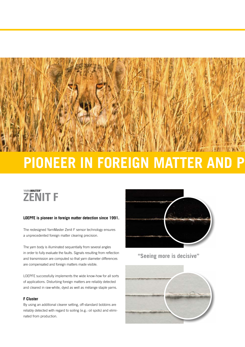

# **Pioneer in foreign matter and polypropylene detection**



#### **LOEPFE is pioneer in foreign matter detection since 1991.**

The redesigned YarnMaster Zenit F sensor technology ensures a unprecedented foreign matter clearing precision.

The yarn body is illuminated sequentially from several angles in order to fully evaluate the faults. Signals resulting from reflection and transmission are computed so that yarn diameter differences are compensated and foreign matters made visible.

LOEPFE successfully implements the wide know-how for all sorts of applications. Disturbing foreign matters are reliably detected and cleared in raw-white, dyed as well as mélange staple yarns.

#### **F Cluster**

By using an additional clearer setting, off-standard bobbins are reliably detected with regard to soiling (e.g.: oil spots) and eliminated from production.



**"Seeing more is decisive"**

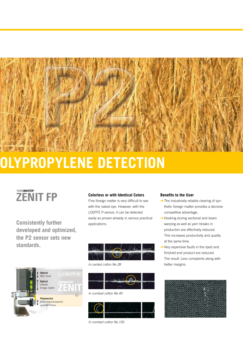

# **Pioneer in foreign matter and polypropylene detection**



**Consistently further developed and optimized, the P2 sensor sets new standards.**

Fine foreign matter is very difficult to see with the naked eye. However, with the LOEPFE P-sensor, it can be detected easily as proven already in various practical applications.





#### *In combed cotton Ne 40*



*In combed cotton Ne 155*

#### **Benefits to the User**

- $\rightarrow$  The industrially reliable clearing of synthetic foreign matter provides a decisive competitive advantage.
- **→** Hooking during sectional and beam warping as well as yarn breaks in production are effectively reduced. This increases productivity and quality at the same time.
- $\rightarrow$  Very expensive faults in the dyed and finished end product are reduced. The result: Less complaints along with better margins.



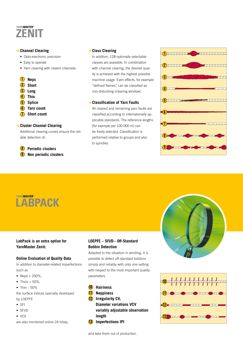

#### ➜ **Channel Clearing**

- • Opto-electronic precision
- Easy to operate
- Yarn clearing with clearer channels:

#### **Neps 1**

- **Short**  2
- **Long** 3
- **Thin** 4
- **Splice**  5
- 6
- **Yarn count**
- **Short count**  7

#### ➜ **Cluster Channel Clearing**

Additional clearing curves ensure the reliable detection of:

#### **Periodic clusters** 8

**Non periodic clusters 9** 

#### ➜**Class Clearing**

 In addition, 128 optionally selectable classes are available. In combination with channel clearing, the desired quality is achieved with the highest possible machine usage. Even effects, for example "defined flames", can be classified as non-disturbing (clearing window).

#### ➜ **Classification of Yarn Faults**

All cleared and remaining yarn faults are classified according to internationally applicable standards. The reference lengths (for example per 100 000 m) can be freely selected. Classification is performed relative to groups and also to spindles.





### **LabPack is an extra option for YarnMaster Zenit:**

#### **Online Evaluation of Quality Data**

In addition to diameter-related imperfections such as

- Neps  $+ 200\%$ ,
- $\bullet$  Thick + 50%,
- $\bullet$  Thin 50%

the surface indices specially developed by LOEPFE

- • SFI
- • SFI/D
- $\bullet$  VCV

are also monitored online 24 h/day.

### **LOEPFE – SFI/D– Off-Standard Bobbin Detection**

Adapted to the situation in winding, it is possible to detect off-standard bobbins simply and reliably with only one setting with respect to the most important quality parameters



#### 11 **Neppiness**

12 **Irregularity CV,**

**Diameter variations VCV variably adjustable observation length**

13 **Imperfections IPI**





and take them out of production.